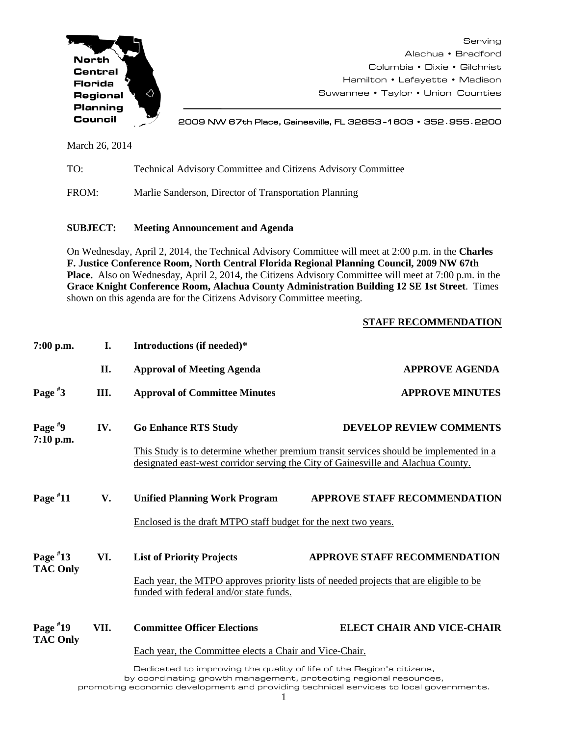

Serving Alachua • Bradford Columbia • Dixie • Gilchrist Hamilton • Lafayette • Madison Suwannee • Taylor • Union Counties

2009 NW 67th Place, Gainesville, FL 32653 -1603 • 352**.**955**.**2200

March 26, 2014

TO: Technical Advisory Committee and Citizens Advisory Committee

FROM: Marlie Sanderson, Director of Transportation Planning

## **SUBJECT: Meeting Announcement and Agenda**

On Wednesday, April 2, 2014, the Technical Advisory Committee will meet at 2:00 p.m. in the **Charles F. Justice Conference Room, North Central Florida Regional Planning Council, 2009 NW 67th Place.** Also on Wednesday, April 2, 2014, the Citizens Advisory Committee will meet at 7:00 p.m. in the **Grace Knight Conference Room, Alachua County Administration Building 12 SE 1st Street**. Times shown on this agenda are for the Citizens Advisory Committee meeting.

## **STAFF RECOMMENDATION**

| $7:00$ p.m.                   | I.   | Introductions (if needed)*                                                                                                                                                  |                                                                                        |
|-------------------------------|------|-----------------------------------------------------------------------------------------------------------------------------------------------------------------------------|----------------------------------------------------------------------------------------|
|                               | II.  | <b>Approval of Meeting Agenda</b>                                                                                                                                           | <b>APPROVE AGENDA</b>                                                                  |
| Page $*3$                     | Ш.   | <b>Approval of Committee Minutes</b>                                                                                                                                        | <b>APPROVE MINUTES</b>                                                                 |
| Page $*9$<br>7:10 p.m.        | IV.  | <b>Go Enhance RTS Study</b>                                                                                                                                                 | <b>DEVELOP REVIEW COMMENTS</b>                                                         |
|                               |      | This Study is to determine whether premium transit services should be implemented in a<br>designated east-west corridor serving the City of Gainesville and Alachua County. |                                                                                        |
| Page $*11$                    | V.   | <b>Unified Planning Work Program</b>                                                                                                                                        | <b>APPROVE STAFF RECOMMENDATION</b>                                                    |
|                               |      | Enclosed is the draft MTPO staff budget for the next two years.                                                                                                             |                                                                                        |
| Page $*13$<br><b>TAC Only</b> | VI.  | <b>List of Priority Projects</b>                                                                                                                                            | <b>APPROVE STAFF RECOMMENDATION</b>                                                    |
|                               |      | funded with federal and/or state funds.                                                                                                                                     | Each year, the MTPO approves priority lists of needed projects that are eligible to be |
| Page $*19$<br><b>TAC Only</b> | VII. | <b>Committee Officer Elections</b>                                                                                                                                          | <b>ELECT CHAIR AND VICE-CHAIR</b>                                                      |
|                               |      | Each year, the Committee elects a Chair and Vice-Chair.                                                                                                                     |                                                                                        |
|                               |      | Dedicated to improving the quality of life of the Pegion's oitizens                                                                                                         |                                                                                        |

Dedicated to improving the quality of life of the Region's citizens, by coordinating growth management, protecting regional resources, promoting economic development and providing technical services to local governments.